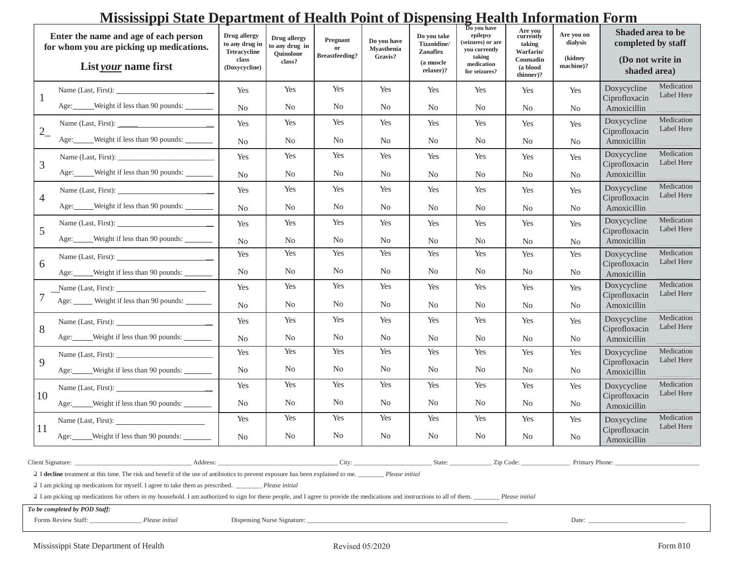# **Mississippi State Department of Health Point of Dispensing Health Information Form**

| Enter the name and age of each person<br>for whom you are picking up medications.<br>List your name first |                                                                                                                                                                                                                                                                                                                                                                                                                                                                                                                   | Drug allergy<br>to any drug in<br><b>Tetracycline</b><br>class<br>(Doxycycline) | Drug allergy<br>to any drug in<br>Quinolone<br>class? | Pregnant<br>or<br><b>Breastfeeding?</b> | Do you have<br><b>Myasthenia</b><br>Gravis? | Do you take<br>Tizanidine/<br><b>Zanaflex</b><br>(a muscle<br>relaxer)? | Do you have<br>epilepsy<br>(seizures) or are<br>you currently<br>taking<br>medication<br>for seizures? | Are you<br>currently<br>taking<br>Warfarin/<br>Coumadin<br>(a blood<br>thinner)? | Are you on<br>dialysis<br>(kidney<br>machine)? | Shaded area to be<br>completed by staff<br>(Do not write in<br>shaded area) |
|-----------------------------------------------------------------------------------------------------------|-------------------------------------------------------------------------------------------------------------------------------------------------------------------------------------------------------------------------------------------------------------------------------------------------------------------------------------------------------------------------------------------------------------------------------------------------------------------------------------------------------------------|---------------------------------------------------------------------------------|-------------------------------------------------------|-----------------------------------------|---------------------------------------------|-------------------------------------------------------------------------|--------------------------------------------------------------------------------------------------------|----------------------------------------------------------------------------------|------------------------------------------------|-----------------------------------------------------------------------------|
|                                                                                                           | Name (Last, First):<br>Age: Weight if less than 90 pounds:                                                                                                                                                                                                                                                                                                                                                                                                                                                        | Yes<br>N <sub>0</sub>                                                           | Yes<br>No                                             | Yes<br>N <sub>0</sub>                   | Yes<br>No                                   | Yes<br>No                                                               | Yes<br>N <sub>0</sub>                                                                                  | Yes<br>No                                                                        | Yes<br>No.                                     | Medication<br>Doxycycline<br>Label Here<br>Ciprofloxacin<br>Amoxicillin     |
| $2_{-}$                                                                                                   |                                                                                                                                                                                                                                                                                                                                                                                                                                                                                                                   | Yes                                                                             | Yes                                                   | Yes                                     | Yes                                         | Yes                                                                     | Yes                                                                                                    | Yes                                                                              | Yes                                            | Medication<br>Doxycycline                                                   |
|                                                                                                           | Age: Weight if less than 90 pounds:                                                                                                                                                                                                                                                                                                                                                                                                                                                                               | N <sub>0</sub>                                                                  | No                                                    | N <sub>0</sub>                          | N <sub>0</sub>                              | N <sub>0</sub>                                                          | N <sub>0</sub>                                                                                         | N <sub>0</sub>                                                                   | No.                                            | Label Here<br>Ciprofloxacin<br>Amoxicillin                                  |
| 3                                                                                                         |                                                                                                                                                                                                                                                                                                                                                                                                                                                                                                                   | Yes                                                                             | Yes                                                   | Yes                                     | Yes                                         | Yes                                                                     | Yes                                                                                                    | Yes                                                                              | Yes                                            | Medication<br>Doxycycline<br>Label Here                                     |
|                                                                                                           | Age: Weight if less than 90 pounds:                                                                                                                                                                                                                                                                                                                                                                                                                                                                               | N <sub>0</sub>                                                                  | No                                                    | N <sub>0</sub>                          | N <sub>0</sub>                              | No                                                                      | N <sub>0</sub>                                                                                         | No                                                                               | No.                                            | Ciprofloxacin<br>Amoxicillin                                                |
| $\overline{4}$                                                                                            |                                                                                                                                                                                                                                                                                                                                                                                                                                                                                                                   | Yes                                                                             | Yes                                                   | Yes                                     | Yes                                         | Yes                                                                     | Yes                                                                                                    | Yes                                                                              | Yes                                            | Medication<br>Doxycycline<br>Label Here<br>Ciprofloxacin                    |
|                                                                                                           | Age: Weight if less than 90 pounds:                                                                                                                                                                                                                                                                                                                                                                                                                                                                               | N <sub>0</sub>                                                                  | No                                                    | N <sub>0</sub>                          | N <sub>0</sub>                              | No                                                                      | N <sub>0</sub>                                                                                         | No                                                                               | No.                                            | Amoxicillin                                                                 |
| 5                                                                                                         |                                                                                                                                                                                                                                                                                                                                                                                                                                                                                                                   | Yes                                                                             | Yes                                                   | Yes                                     | Yes                                         | Yes                                                                     | Yes                                                                                                    | Yes                                                                              | Yes                                            | Medication<br>Doxycycline<br>Label Here<br>Ciprofloxacin                    |
|                                                                                                           | Age: Weight if less than 90 pounds:                                                                                                                                                                                                                                                                                                                                                                                                                                                                               | N <sub>0</sub>                                                                  | No                                                    | N <sub>0</sub>                          | N <sub>0</sub>                              | No                                                                      | N <sub>0</sub>                                                                                         | No                                                                               | No.                                            | Amoxicillin                                                                 |
| 6                                                                                                         |                                                                                                                                                                                                                                                                                                                                                                                                                                                                                                                   | Yes                                                                             | Yes                                                   | Yes                                     | Yes                                         | Yes                                                                     | Yes                                                                                                    | Yes                                                                              | Yes                                            | Doxycycline<br>Medication<br>Label Here<br>Ciprofloxacin                    |
|                                                                                                           | Age: Weight if less than 90 pounds:                                                                                                                                                                                                                                                                                                                                                                                                                                                                               | N <sub>0</sub>                                                                  | No                                                    | N <sub>0</sub>                          | No                                          | N <sub>0</sub>                                                          | N <sub>0</sub>                                                                                         | No                                                                               | N <sub>0</sub>                                 | Amoxicillin                                                                 |
|                                                                                                           |                                                                                                                                                                                                                                                                                                                                                                                                                                                                                                                   | Yes                                                                             | Yes                                                   | Yes                                     | Yes                                         | Yes                                                                     | Yes                                                                                                    | Yes                                                                              | Yes                                            | Doxycycline<br>Medication<br>Label Here<br>Ciprofloxacin                    |
|                                                                                                           | Age: _____ Weight if less than 90 pounds: _____                                                                                                                                                                                                                                                                                                                                                                                                                                                                   | N <sub>0</sub>                                                                  | No                                                    | N <sub>0</sub>                          | No                                          | N <sub>0</sub>                                                          | N <sub>0</sub>                                                                                         | No                                                                               | No.                                            | Amoxicillin                                                                 |
| 8                                                                                                         |                                                                                                                                                                                                                                                                                                                                                                                                                                                                                                                   | Yes                                                                             | Yes                                                   | Yes                                     | Yes                                         | Yes                                                                     | Yes                                                                                                    | Yes                                                                              | Yes                                            | Medication<br>Doxycycline<br>Label Here<br>Ciprofloxacin                    |
|                                                                                                           | Age: Weight if less than 90 pounds:                                                                                                                                                                                                                                                                                                                                                                                                                                                                               | N <sub>0</sub>                                                                  | No                                                    | N <sub>0</sub>                          | N <sub>0</sub>                              | N <sub>0</sub>                                                          | N <sub>0</sub>                                                                                         | N <sub>0</sub>                                                                   | No.                                            | Amoxicillin                                                                 |
| 9                                                                                                         | Name (Last, First): $\frac{1}{2}$                                                                                                                                                                                                                                                                                                                                                                                                                                                                                 | Yes                                                                             | Yes                                                   | Yes                                     | Yes                                         | Yes                                                                     | Yes                                                                                                    | Yes                                                                              | Yes                                            | Doxycycline<br>Medication<br>Label Here                                     |
|                                                                                                           | Age: Weight if less than 90 pounds:                                                                                                                                                                                                                                                                                                                                                                                                                                                                               | N <sub>0</sub>                                                                  | No.                                                   | N <sub>0</sub>                          | No                                          | No                                                                      | No                                                                                                     | No                                                                               | N <sub>0</sub>                                 | Ciprofloxacin<br>Amoxicillin                                                |
| 10<br>11                                                                                                  | Name (Last, First):                                                                                                                                                                                                                                                                                                                                                                                                                                                                                               | Yes                                                                             | Yes                                                   | Yes                                     | Yes                                         | Yes                                                                     | Yes                                                                                                    | Yes                                                                              | Yes                                            | Medication<br>Doxycycline<br>Label Here                                     |
|                                                                                                           | Age: Weight if less than 90 pounds:                                                                                                                                                                                                                                                                                                                                                                                                                                                                               | N <sub>0</sub>                                                                  | No.                                                   | N <sub>0</sub>                          | No                                          | N <sub>0</sub>                                                          | No                                                                                                     | No                                                                               | N <sub>0</sub>                                 | Ciprofloxacin<br>Amoxicillin                                                |
|                                                                                                           | Name (Last, First):                                                                                                                                                                                                                                                                                                                                                                                                                                                                                               | Yes                                                                             | Yes                                                   | Yes                                     | Yes                                         | Yes                                                                     | Yes                                                                                                    | Yes                                                                              | Yes                                            | Medication<br>Doxycycline<br>Label Here                                     |
|                                                                                                           | Weight if less than 90 pounds:<br>Age: $\_\_\_\_\$                                                                                                                                                                                                                                                                                                                                                                                                                                                                | No.                                                                             | No                                                    | N <sub>0</sub>                          | No                                          | No                                                                      | No.                                                                                                    | No.                                                                              | No                                             | Ciprofloxacin<br>Amoxicillin                                                |
|                                                                                                           | Address: Address:<br>Client Signature:<br>I decline treatment at this time. The risk and benefit of the use of antibiotics to prevent exposure has been explained to me. Please initial<br>$\Box$ I am picking up medications for myself. I agree to take them as prescribed. $\Box$ Please initial<br>I am picking up medications for others in my household. I am authorized to sign for these people, and I agree to provide the medications and instructions to all of them.<br>To be completed by POD Staff: |                                                                                 |                                                       |                                         | City:                                       |                                                                         | State:                                                                                                 | Zip Code:<br>Please initial                                                      | Primary Phone:                                 |                                                                             |
| Forms Review Staff:<br>Dispensing Nurse Signature:<br>Please initial<br>Date:                             |                                                                                                                                                                                                                                                                                                                                                                                                                                                                                                                   |                                                                                 |                                                       |                                         |                                             |                                                                         |                                                                                                        |                                                                                  |                                                |                                                                             |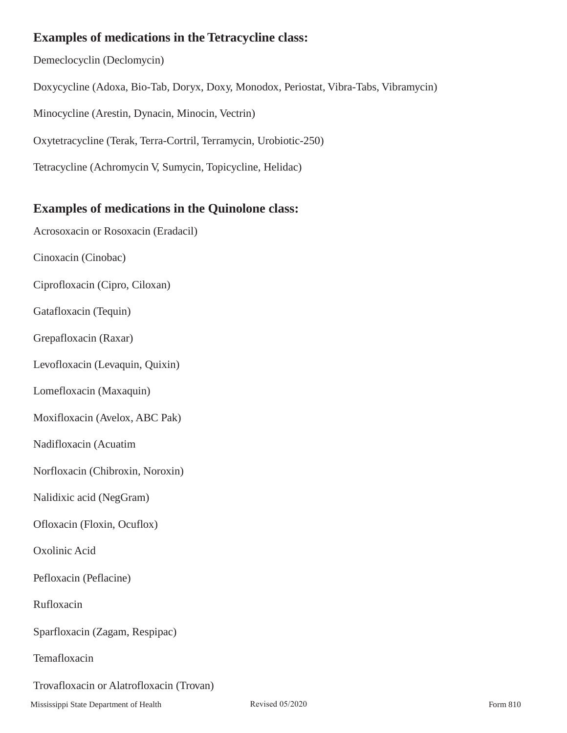# **Examples of medications in the Tetracycline class:**

Demeclocyclin (Declomycin) Doxycycline (Adoxa, Bio-Tab, Doryx, Doxy, Monodox, Periostat, Vibra-Tabs, Vibramycin) Minocycline (Arestin, Dynacin, Minocin, Vectrin) Oxytetracycline (Terak, Terra-Cortril, Terramycin, Urobiotic-250) Tetracycline (Achromycin V, Sumycin, Topicycline, Helidac)

## **Examples of medications in the Quinolone class:**

Acrosoxacin or Rosoxacin (Eradacil) Cinoxacin (Cinobac) Ciprofloxacin (Cipro, Ciloxan) Gatafloxacin (Tequin) Grepafloxacin (Raxar) Levofloxacin (Levaquin, Quixin) Lomefloxacin (Maxaquin) Moxifloxacin (Avelox, ABC Pak) Nadifloxacin (Acuatim Norfloxacin (Chibroxin, Noroxin) Nalidixic acid (NegGram) Ofloxacin (Floxin, Ocuflox) Oxolinic Acid Pefloxacin (Peflacine) Rufloxacin Sparfloxacin (Zagam, Respipac) Temafloxacin Trovafloxacin or Alatrofloxacin (Trovan)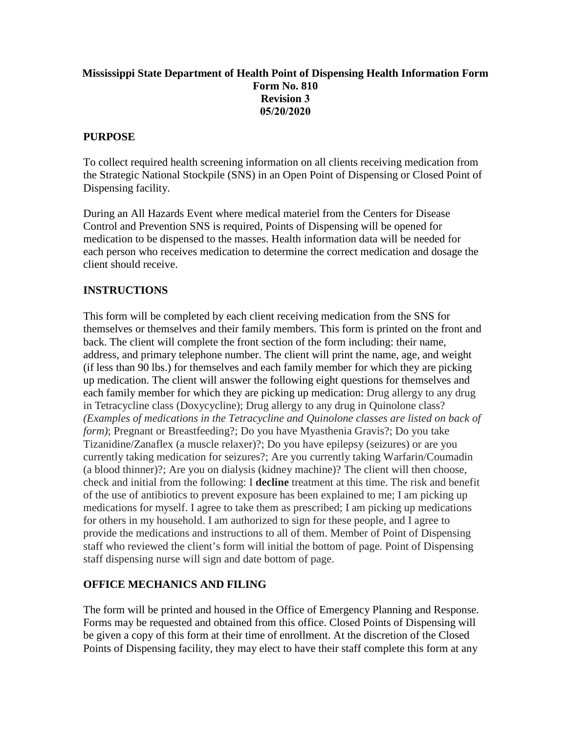## **Mississippi State Department of Health Point of Dispensing Health Information Form Form No. 810 Revision 3 05/20/2020**

#### **PURPOSE**

To collect required health screening information on all clients receiving medication from the Strategic National Stockpile (SNS) in an Open Point of Dispensing or Closed Point of Dispensing facility.

During an All Hazards Event where medical materiel from the Centers for Disease Control and Prevention SNS is required, Points of Dispensing will be opened for medication to be dispensed to the masses. Health information data will be needed for each person who receives medication to determine the correct medication and dosage the client should receive.

## **INSTRUCTIONS**

This form will be completed by each client receiving medication from the SNS for themselves or themselves and their family members. This form is printed on the front and back. The client will complete the front section of the form including: their name, address, and primary telephone number. The client will print the name, age, and weight (if less than 90 lbs.) for themselves and each family member for which they are picking up medication. The client will answer the following eight questions for themselves and each family member for which they are picking up medication: Drug allergy to any drug in Tetracycline class (Doxycycline); Drug allergy to any drug in Quinolone class? *(Examples of medications in the Tetracycline and Quinolone classes are listed on back of form)*; Pregnant or Breastfeeding?; Do you have Myasthenia Gravis?; Do you take Tizanidine/Zanaflex (a muscle relaxer)?; Do you have epilepsy (seizures) or are you currently taking medication for seizures?; Are you currently taking Warfarin/Coumadin (a blood thinner)?; Are you on dialysis (kidney machine)? The client will then choose, check and initial from the following: I **decline** treatment at this time. The risk and benefit of the use of antibiotics to prevent exposure has been explained to me; I am picking up medications for myself. I agree to take them as prescribed; I am picking up medications for others in my household. I am authorized to sign for these people, and I agree to provide the medications and instructions to all of them. Member of Point of Dispensing staff who reviewed the client's form will initial the bottom of page. Point of Dispensing staff dispensing nurse will sign and date bottom of page.

#### **OFFICE MECHANICS AND FILING**

The form will be printed and housed in the Office of Emergency Planning and Response. Forms may be requested and obtained from this office. Closed Points of Dispensing will be given a copy of this form at their time of enrollment. At the discretion of the Closed Points of Dispensing facility, they may elect to have their staff complete this form at any